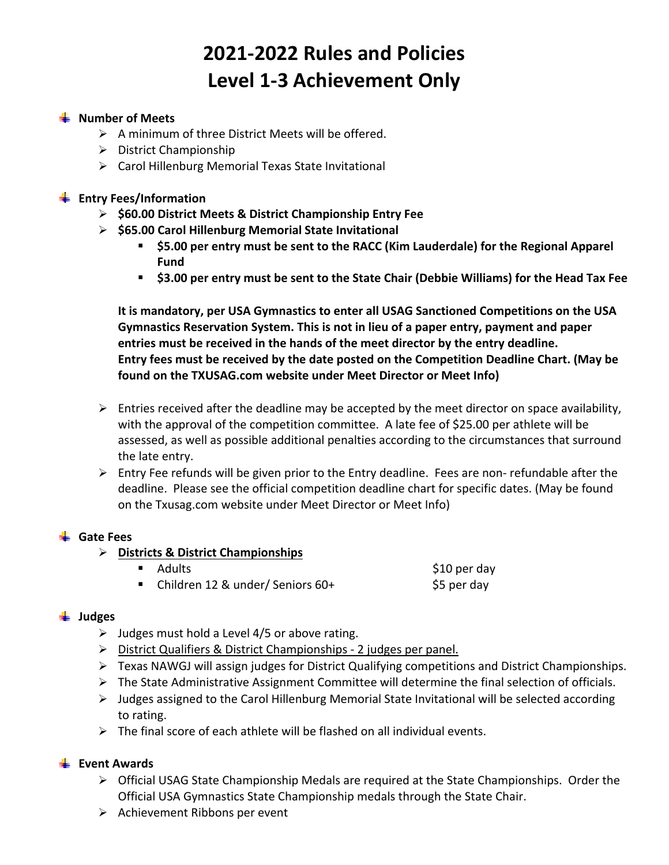# **2021‐2022 Rules and Policies Level 1‐3 Achievement Only**

#### **Number of Meets**

- $\triangleright$  A minimum of three District Meets will be offered.
- $\triangleright$  District Championship
- Carol Hillenburg Memorial Texas State Invitational

#### **Entry Fees/Information**

- **\$60.00 District Meets & District Championship Entry Fee**
- **\$65.00 Carol Hillenburg Memorial State Invitational** 
	- **\$5.00 per entry must be sent to the RACC (Kim Lauderdale) for the Regional Apparel Fund**
	- **\$3.00 per entry must be sent to the State Chair (Debbie Williams) for the Head Tax Fee**

**It is mandatory, per USA Gymnastics to enter all USAG Sanctioned Competitions on the USA Gymnastics Reservation System. This is not in lieu of a paper entry, payment and paper entries must be received in the hands of the meet director by the entry deadline. Entry fees must be received by the date posted on the Competition Deadline Chart. (May be found on the TXUSAG.com website under Meet Director or Meet Info)** 

- $\triangleright$  Entries received after the deadline may be accepted by the meet director on space availability, with the approval of the competition committee. A late fee of \$25.00 per athlete will be assessed, as well as possible additional penalties according to the circumstances that surround the late entry.
- $\triangleright$  Entry Fee refunds will be given prior to the Entry deadline. Fees are non-refundable after the deadline. Please see the official competition deadline chart for specific dates. (May be found on the Txusag.com website under Meet Director or Meet Info)

# **Gate Fees**

# **Districts & District Championships**

- $\blacksquare$  Adults  $\spadesuit$  Adults  $\spadesuit$  10 per day
- Children 12 & under/ Seniors 60+ \$5 per day

# **Judges**

- $\triangleright$  Judges must hold a Level 4/5 or above rating.
- ▶ District Qualifiers & District Championships 2 judges per panel.
- Texas NAWGJ will assign judges for District Qualifying competitions and District Championships.
- $\triangleright$  The State Administrative Assignment Committee will determine the final selection of officials.
- $\triangleright$  Judges assigned to the Carol Hillenburg Memorial State Invitational will be selected according to rating.
- $\triangleright$  The final score of each athlete will be flashed on all individual events.

# **Event Awards**

- Official USAG State Championship Medals are required at the State Championships. Order the Official USA Gymnastics State Championship medals through the State Chair.
- $\triangleright$  Achievement Ribbons per event